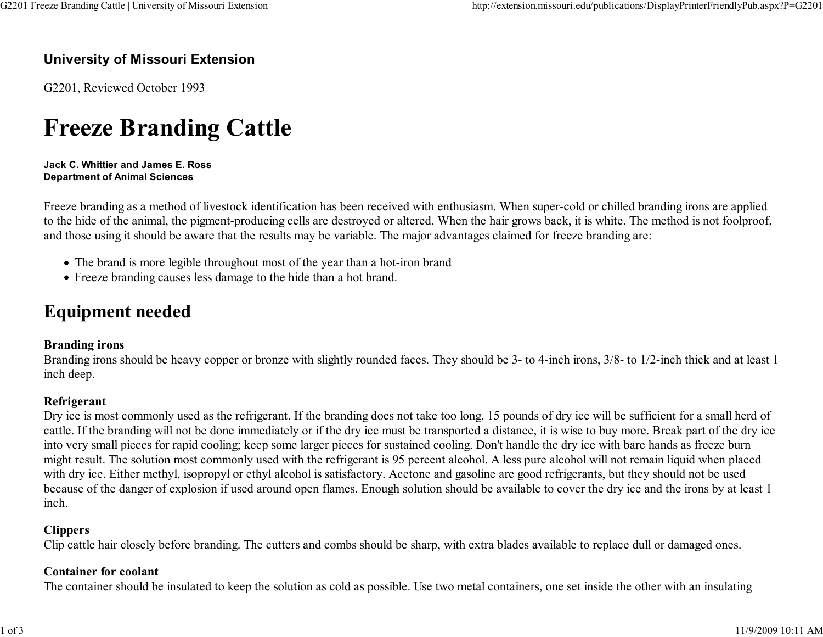#### University of Missouri Extension

G2201, Reviewed October 1993

# Freeze Branding Cattle

Jack C. Whittier and James E. RossDepartment of Animal Sciences

Freeze branding as a method of livestock identification has been received with enthusiasm. When super-cold or chilled branding irons are applied to the hide of the animal, the pigment-producing cells are destroyed or altered. When the hair grows back, it is white. The method is not foolproof,and those using it should be aware that the results may be variable. The major advantages claimed for freeze branding are:

- The brand is more legible throughout most of the year than a hot-iron brand
- Freeze branding causes less damage to the hide than a hot brand.

### Equipment needed

#### Branding irons

 Branding irons should be heavy copper or bronze with slightly rounded faces. They should be 3- to 4-inch irons, 3/8- to 1/2-inch thick and at least 1inch deep.

#### Refrigerant

 Dry ice is most commonly used as the refrigerant. If the branding does not take too long, 15 pounds of dry ice will be sufficient for a small herd of cattle. If the branding will not be done immediately or if the dry ice must be transported a distance, it is wise to buy more. Break part of the dry iceinto very small pieces for rapid cooling; keep some larger pieces for sustained cooling. Don't handle the dry ice with bare hands as freeze burn might result. The solution most commonly used with the refrigerant is 95 percent alcohol. A less pure alcohol will not remain liquid when placedwith dry ice. Either methyl, isopropyl or ethyl alcohol is satisfactory. Acetone and gasoline are good refrigerants, but they should not be used because of the danger of explosion if used around open flames. Enough solution should be available to cover the dry ice and the irons by at least 1inch.

#### **Clippers**

Clip cattle hair closely before branding. The cutters and combs should be sharp, with extra blades available to replace dull or damaged ones.

#### Container for coolant

The container should be insulated to keep the solution as cold as possible. Use two metal containers, one set inside the other with an insulating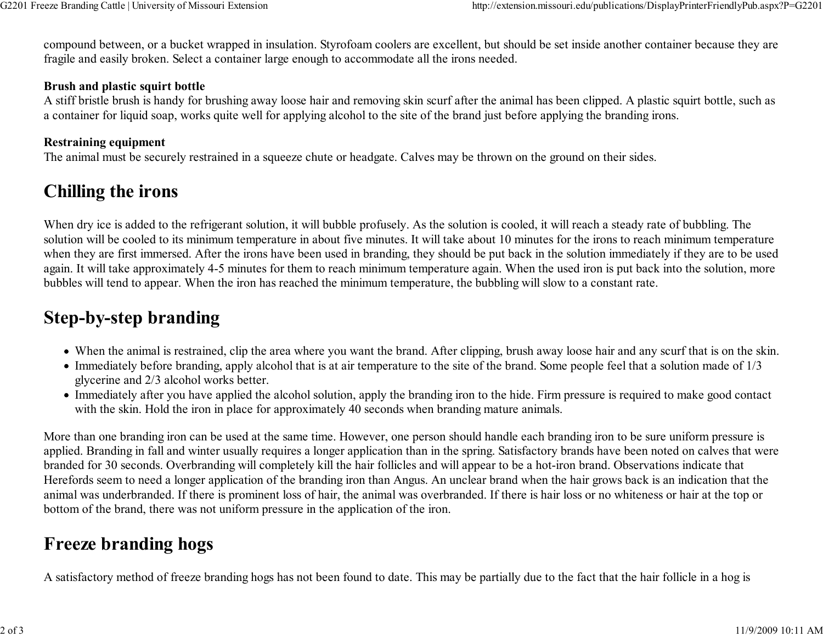compound between, or a bucket wrapped in insulation. Styrofoam coolers are excellent, but should be set inside another container because they arefragile and easily broken. Select a container large enough to accommodate all the irons needed.

#### Brush and plastic squirt bottle

 A stiff bristle brush is handy for brushing away loose hair and removing skin scurf after the animal has been clipped. A plastic squirt bottle, such asa container for liquid soap, works quite well for applying alcohol to the site of the brand just before applying the branding irons.

#### Restraining equipment

The animal must be securely restrained in a squeeze chute or headgate. Calves may be thrown on the ground on their sides.

### Chilling the irons

When dry ice is added to the refrigerant solution, it will bubble profusely. As the solution is cooled, it will reach a steady rate of bubbling. The solution will be cooled to its minimum temperature in about five minutes. It will take about 10 minutes for the irons to reach minimum temperature when they are first immersed. After the irons have been used in branding, they should be put back in the solution immediately if they are to be used again. It will take approximately 4-5 minutes for them to reach minimum temperature again. When the used iron is put back into the solution, morebubbles will tend to appear. When the iron has reached the minimum temperature, the bubbling will slow to a constant rate.

### Step-by-step branding

- When the animal is restrained, clip the area where you want the brand. After clipping, brush away loose hair and any scurf that is on the skin.
- Immediately before branding, apply alcohol that is at air temperature to the site of the brand. Some people feel that a solution made of 1/3 glycerine and 2/3 alcohol works better.
- Immediately after you have applied the alcohol solution, apply the branding iron to the hide. Firm pressure is required to make good contactwith the skin. Hold the iron in place for approximately 40 seconds when branding mature animals.

More than one branding iron can be used at the same time. However, one person should handle each branding iron to be sure uniform pressure is applied. Branding in fall and winter usually requires a longer application than in the spring. Satisfactory brands have been noted on calves that werebranded for 30 seconds. Overbranding will completely kill the hair follicles and will appear to be a hot-iron brand. Observations indicate that Herefords seem to need a longer application of the branding iron than Angus. An unclear brand when the hair grows back is an indication that the animal was underbranded. If there is prominent loss of hair, the animal was overbranded. If there is hair loss or no whiteness or hair at the top orbottom of the brand, there was not uniform pressure in the application of the iron.

### Freeze branding hogs

A satisfactory method of freeze branding hogs has not been found to date. This may be partially due to the fact that the hair follicle in a hog is